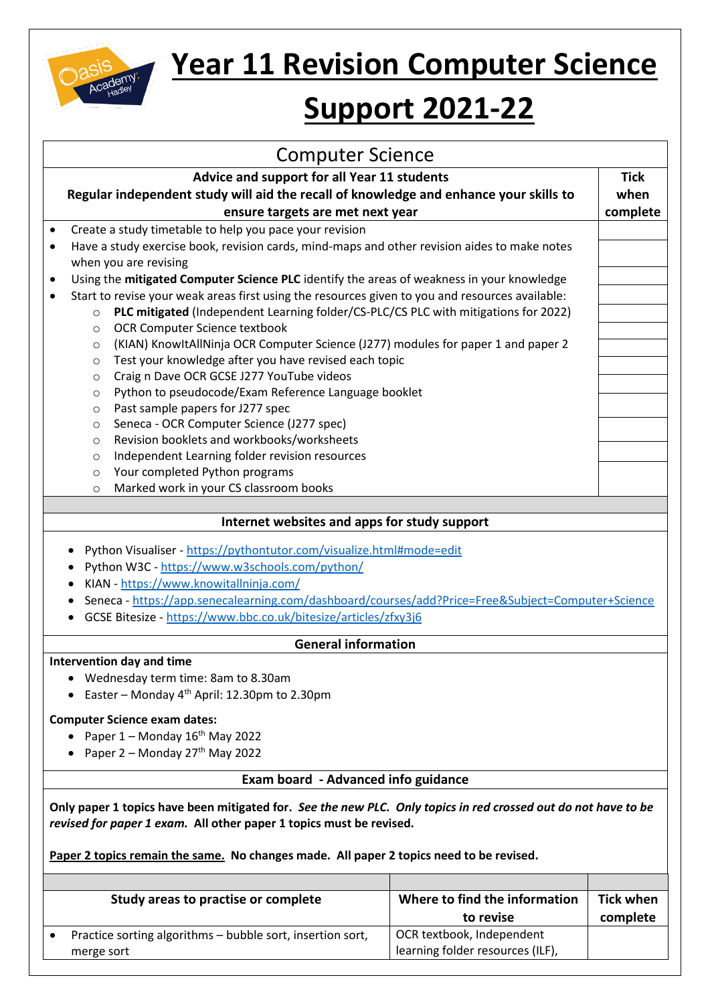

## **Year 11 Revision Computer Science**

## **Support 2021-22**

| <b>Computer Science</b>                                                                                                                                                                                                                                                                                                                  |                               |                  |
|------------------------------------------------------------------------------------------------------------------------------------------------------------------------------------------------------------------------------------------------------------------------------------------------------------------------------------------|-------------------------------|------------------|
| Advice and support for all Year 11 students                                                                                                                                                                                                                                                                                              |                               | <b>Tick</b>      |
| Regular independent study will aid the recall of knowledge and enhance your skills to                                                                                                                                                                                                                                                    |                               | when             |
| ensure targets are met next year                                                                                                                                                                                                                                                                                                         |                               | complete         |
| Create a study timetable to help you pace your revision<br>$\bullet$                                                                                                                                                                                                                                                                     |                               |                  |
| Have a study exercise book, revision cards, mind-maps and other revision aides to make notes<br>$\bullet$                                                                                                                                                                                                                                |                               |                  |
| when you are revising                                                                                                                                                                                                                                                                                                                    |                               |                  |
| Using the mitigated Computer Science PLC identify the areas of weakness in your knowledge<br>$\bullet$                                                                                                                                                                                                                                   |                               |                  |
| Start to revise your weak areas first using the resources given to you and resources available:<br>$\bullet$                                                                                                                                                                                                                             |                               |                  |
| PLC mitigated (Independent Learning folder/CS-PLC/CS PLC with mitigations for 2022)<br>$\circ$                                                                                                                                                                                                                                           |                               |                  |
| OCR Computer Science textbook<br>$\circ$                                                                                                                                                                                                                                                                                                 |                               |                  |
| (KIAN) KnowItAllNinja OCR Computer Science (J277) modules for paper 1 and paper 2<br>$\circ$                                                                                                                                                                                                                                             |                               |                  |
| Test your knowledge after you have revised each topic<br>O                                                                                                                                                                                                                                                                               |                               |                  |
| Craig n Dave OCR GCSE J277 YouTube videos<br>$\circ$                                                                                                                                                                                                                                                                                     |                               |                  |
| Python to pseudocode/Exam Reference Language booklet<br>$\circ$                                                                                                                                                                                                                                                                          |                               |                  |
| Past sample papers for J277 spec<br>$\circ$                                                                                                                                                                                                                                                                                              |                               |                  |
| Seneca - OCR Computer Science (J277 spec)<br>O                                                                                                                                                                                                                                                                                           |                               |                  |
| Revision booklets and workbooks/worksheets<br>O                                                                                                                                                                                                                                                                                          |                               |                  |
| Independent Learning folder revision resources<br>O                                                                                                                                                                                                                                                                                      |                               |                  |
| Your completed Python programs<br>$\circ$                                                                                                                                                                                                                                                                                                |                               |                  |
| Marked work in your CS classroom books<br>$\circ$                                                                                                                                                                                                                                                                                        |                               |                  |
| Python Visualiser - https://pythontutor.com/visualize.html#mode=edit<br>Python W3C - https://www.w3schools.com/python/<br>KIAN - https://www.knowitallninja.com/<br>Seneca - https://app.senecalearning.com/dashboard/courses/add?Price=Free&Subject=Computer+Science<br>GCSE Bitesize - https://www.bbc.co.uk/bitesize/articles/zfxy3j6 |                               |                  |
| <b>General information</b>                                                                                                                                                                                                                                                                                                               |                               |                  |
| Intervention day and time                                                                                                                                                                                                                                                                                                                |                               |                  |
| Wednesday term time: 8am to 8.30am                                                                                                                                                                                                                                                                                                       |                               |                  |
| Easter - Monday 4 <sup>th</sup> April: 12.30pm to 2.30pm                                                                                                                                                                                                                                                                                 |                               |                  |
| <b>Computer Science exam dates:</b>                                                                                                                                                                                                                                                                                                      |                               |                  |
| Paper $1 -$ Monday $16th$ May 2022                                                                                                                                                                                                                                                                                                       |                               |                  |
| Paper 2 - Monday 27 <sup>th</sup> May 2022                                                                                                                                                                                                                                                                                               |                               |                  |
|                                                                                                                                                                                                                                                                                                                                          |                               |                  |
| <b>Exam board - Advanced info guidance</b>                                                                                                                                                                                                                                                                                               |                               |                  |
| Only paper 1 topics have been mitigated for. See the new PLC. Only topics in red crossed out do not have to be<br>revised for paper 1 exam. All other paper 1 topics must be revised.<br>Paper 2 topics remain the same. No changes made. All paper 2 topics need to be revised.                                                         |                               |                  |
|                                                                                                                                                                                                                                                                                                                                          |                               |                  |
| Study areas to practise or complete                                                                                                                                                                                                                                                                                                      | Where to find the information | <b>Tick when</b> |
|                                                                                                                                                                                                                                                                                                                                          | to revise                     | complete         |

OCR textbook, Independent learning folder resources (ILF),

• Practice sorting algorithms – bubble sort, insertion sort,

merge sort